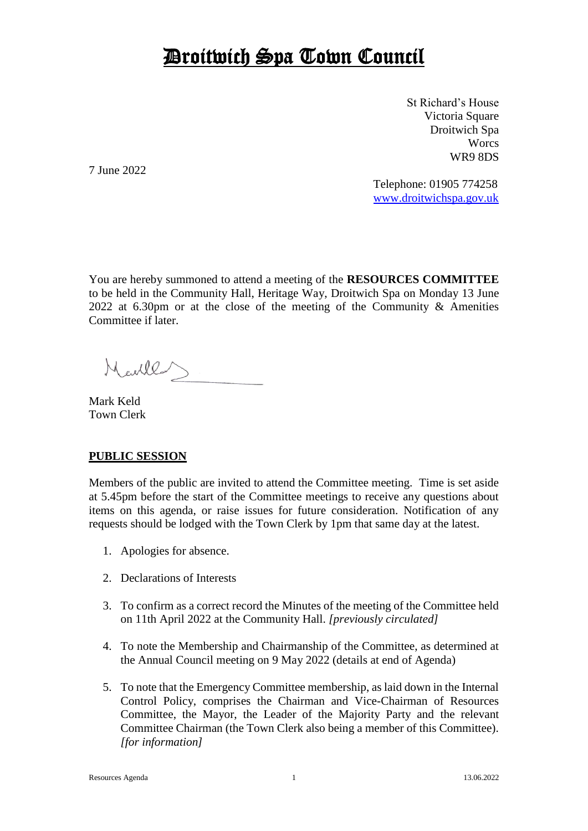## Droitwich Spa Town Council

St Richard's House Victoria Square Droitwich Spa **Worcs** WR9 8DS

7 June 2022

Telephone: 01905 774258 [www.droitwichspa.gov.uk](http://www.droitwichspa.gov.uk/)

You are hereby summoned to attend a meeting of the **RESOURCES COMMITTEE** to be held in the Community Hall, Heritage Way, Droitwich Spa on Monday 13 June 2022 at 6.30pm or at the close of the meeting of the Community & Amenities Committee if later.

Marles

Mark Keld Town Clerk

## **PUBLIC SESSION**

Members of the public are invited to attend the Committee meeting. Time is set aside at 5.45pm before the start of the Committee meetings to receive any questions about items on this agenda, or raise issues for future consideration. Notification of any requests should be lodged with the Town Clerk by 1pm that same day at the latest.

- 1. Apologies for absence.
- 2. Declarations of Interests
- 3. To confirm as a correct record the Minutes of the meeting of the Committee held on 11th April 2022 at the Community Hall. *[previously circulated]*
- 4. To note the Membership and Chairmanship of the Committee, as determined at the Annual Council meeting on 9 May 2022 (details at end of Agenda)
- 5. To note that the Emergency Committee membership, as laid down in the Internal Control Policy, comprises the Chairman and Vice-Chairman of Resources Committee, the Mayor, the Leader of the Majority Party and the relevant Committee Chairman (the Town Clerk also being a member of this Committee). *[for information]*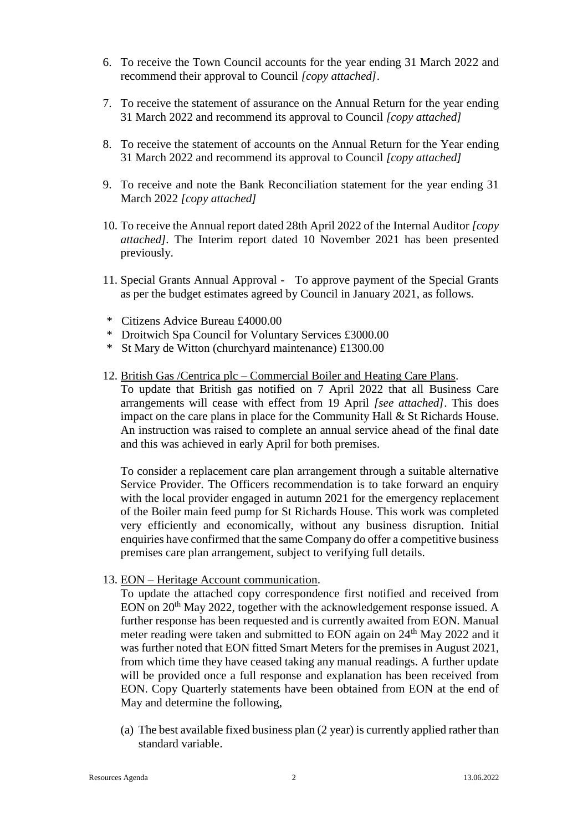- 6. To receive the Town Council accounts for the year ending 31 March 2022 and recommend their approval to Council *[copy attached]*.
- 7. To receive the statement of assurance on the Annual Return for the year ending 31 March 2022 and recommend its approval to Council *[copy attached]*
- 8. To receive the statement of accounts on the Annual Return for the Year ending 31 March 2022 and recommend its approval to Council *[copy attached]*
- 9. To receive and note the Bank Reconciliation statement for the year ending 31 March 2022 *[copy attached]*
- 10. To receive the Annual report dated 28th April 2022 of the Internal Auditor *[copy attached].* The Interim report dated 10 November 2021 has been presented previously.
- 11. Special Grants Annual Approval To approve payment of the Special Grants as per the budget estimates agreed by Council in January 2021, as follows.
- \* Citizens Advice Bureau £4000.00
- \* Droitwich Spa Council for Voluntary Services £3000.00
- \* St Mary de Witton (churchyard maintenance) £1300.00
- 12. British Gas /Centrica plc Commercial Boiler and Heating Care Plans.

To update that British gas notified on 7 April 2022 that all Business Care arrangements will cease with effect from 19 April *[see attached]*. This does impact on the care plans in place for the Community Hall & St Richards House. An instruction was raised to complete an annual service ahead of the final date and this was achieved in early April for both premises.

To consider a replacement care plan arrangement through a suitable alternative Service Provider. The Officers recommendation is to take forward an enquiry with the local provider engaged in autumn 2021 for the emergency replacement of the Boiler main feed pump for St Richards House. This work was completed very efficiently and economically, without any business disruption. Initial enquiries have confirmed that the same Company do offer a competitive business premises care plan arrangement, subject to verifying full details.

13. EON – Heritage Account communication.

To update the attached copy correspondence first notified and received from EON on 20<sup>th</sup> May 2022, together with the acknowledgement response issued. A further response has been requested and is currently awaited from EON. Manual meter reading were taken and submitted to EON again on 24<sup>th</sup> May 2022 and it was further noted that EON fitted Smart Meters for the premises in August 2021, from which time they have ceased taking any manual readings. A further update will be provided once a full response and explanation has been received from EON. Copy Quarterly statements have been obtained from EON at the end of May and determine the following,

(a) The best available fixed business plan (2 year) is currently applied rather than standard variable.